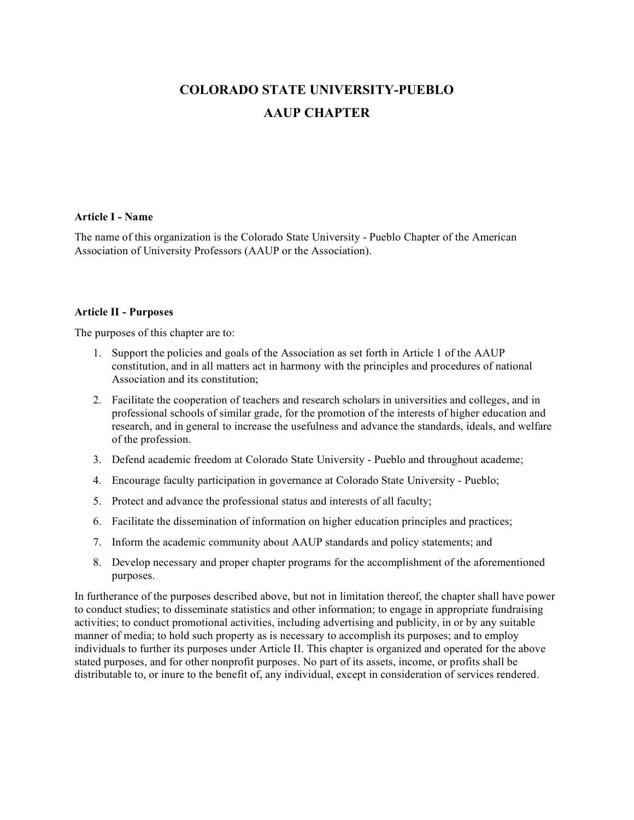# **COLORADO STATE UNIVERSITY-PUEBLO AAUP CHAPTER**

## **Article I - Name**

The name of this organization is the Colorado State University - Pueblo Chapter of the American Association of University Professors (AAUP or the Association).

## **Article II - Purposes**

The purposes of this chapter are to:

- 1. Support the policies and goals of the Association as set forth in Article 1 of the AAUP constitution, and in all matters act in harmony with the principles and procedures of national Association and its constitution;
- 2. Facilitate the cooperation of teachers and research scholars in universities and colleges, and in professional schools of similar grade, for the promotion of the interests of higher education and research, and in general to increase the usefulness and advance the standards, ideals, and welfare of the profession.
- 3. Defend academic freedom at Colorado State University Pueblo and throughout academe;
- 4. Encourage faculty participation in governance at Colorado State University Pueblo;
- 5. Protect and advance the professional status and interests of all faculty;
- 6. Facilitate the dissemination of information on higher education principles and practices;
- 7. Inform the academic community about AAUP standards and policy statements; and
- 8. Develop necessary and proper chapter programs for the accomplishment of the aforementioned purposes.

In furtherance of the purposes described above, but not in limitation thereof, the chapter shall have power to conduct studies; to disseminate statistics and other information; to engage in appropriate fundraising activities; to conduct promotional activities, including advertising and publicity, in or by any suitable manner of media; to hold such property as is necessary to accomplish its purposes; and to employ individuals to further its purposes under Article II. This chapter is organized and operated for the above stated purposes, and for other nonprofit purposes. No part of its assets, income, or profits shall be distributable to, or inure to the benefit of, any individual, except in consideration of services rendered.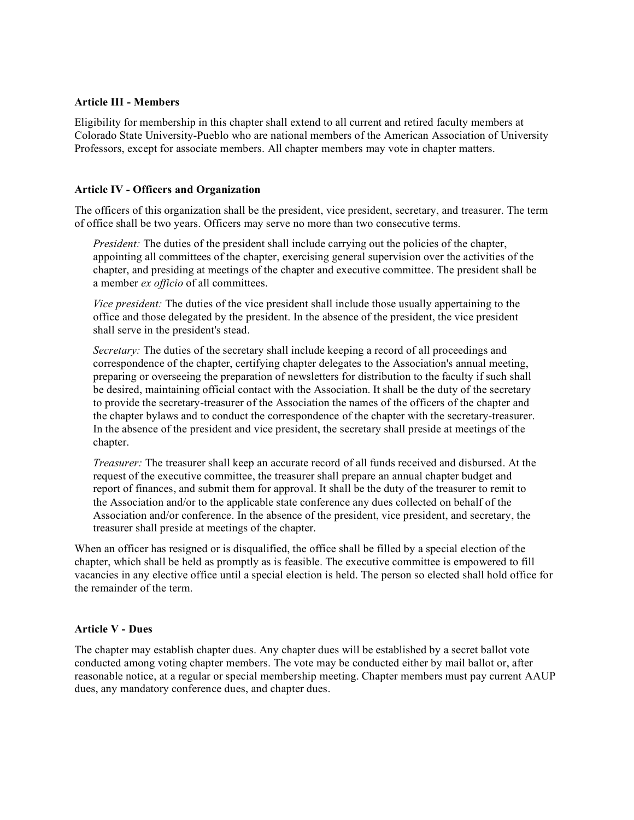## **Article III - Members**

Eligibility for membership in this chapter shall extend to all current and retired faculty members at Colorado State University-Pueblo who are national members of the American Association of University Professors, except for associate members. All chapter members may vote in chapter matters.

# **Article IV - Officers and Organization**

The officers of this organization shall be the president, vice president, secretary, and treasurer. The term of office shall be two years. Officers may serve no more than two consecutive terms.

*President:* The duties of the president shall include carrying out the policies of the chapter, appointing all committees of the chapter, exercising general supervision over the activities of the chapter, and presiding at meetings of the chapter and executive committee. The president shall be a member *ex officio* of all committees.

*Vice president:* The duties of the vice president shall include those usually appertaining to the office and those delegated by the president. In the absence of the president, the vice president shall serve in the president's stead.

*Secretary:* The duties of the secretary shall include keeping a record of all proceedings and correspondence of the chapter, certifying chapter delegates to the Association's annual meeting, preparing or overseeing the preparation of newsletters for distribution to the faculty if such shall be desired, maintaining official contact with the Association. It shall be the duty of the secretary to provide the secretary-treasurer of the Association the names of the officers of the chapter and the chapter bylaws and to conduct the correspondence of the chapter with the secretary-treasurer. In the absence of the president and vice president, the secretary shall preside at meetings of the chapter.

*Treasurer:* The treasurer shall keep an accurate record of all funds received and disbursed. At the request of the executive committee, the treasurer shall prepare an annual chapter budget and report of finances, and submit them for approval. It shall be the duty of the treasurer to remit to the Association and/or to the applicable state conference any dues collected on behalf of the Association and/or conference. In the absence of the president, vice president, and secretary, the treasurer shall preside at meetings of the chapter.

When an officer has resigned or is disqualified, the office shall be filled by a special election of the chapter, which shall be held as promptly as is feasible. The executive committee is empowered to fill vacancies in any elective office until a special election is held. The person so elected shall hold office for the remainder of the term.

#### **Article V - Dues**

The chapter may establish chapter dues. Any chapter dues will be established by a secret ballot vote conducted among voting chapter members. The vote may be conducted either by mail ballot or, after reasonable notice, at a regular or special membership meeting. Chapter members must pay current AAUP dues, any mandatory conference dues, and chapter dues.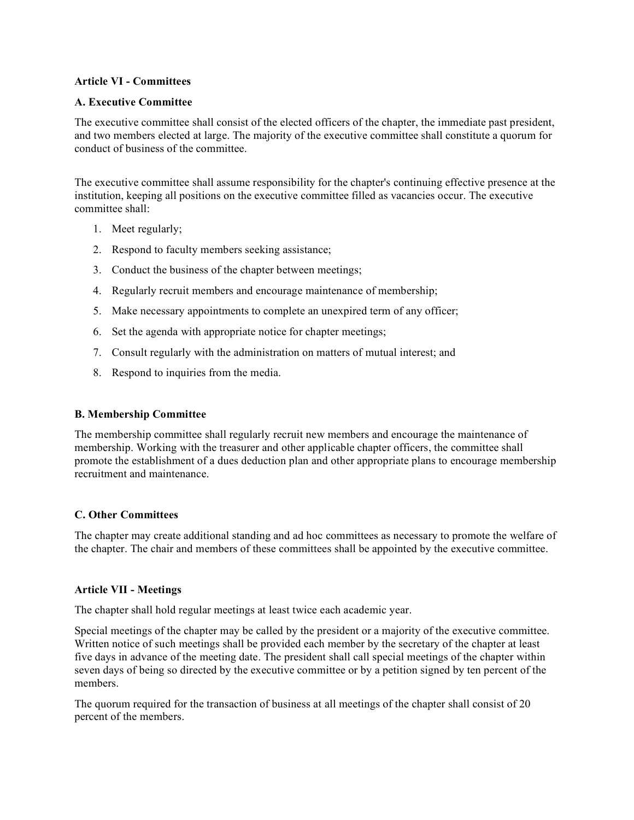# **Article VI - Committees**

## **A. Executive Committee**

The executive committee shall consist of the elected officers of the chapter, the immediate past president, and two members elected at large. The majority of the executive committee shall constitute a quorum for conduct of business of the committee.

The executive committee shall assume responsibility for the chapter's continuing effective presence at the institution, keeping all positions on the executive committee filled as vacancies occur. The executive committee shall:

- 1. Meet regularly;
- 2. Respond to faculty members seeking assistance;
- 3. Conduct the business of the chapter between meetings;
- 4. Regularly recruit members and encourage maintenance of membership;
- 5. Make necessary appointments to complete an unexpired term of any officer;
- 6. Set the agenda with appropriate notice for chapter meetings;
- 7. Consult regularly with the administration on matters of mutual interest; and
- 8. Respond to inquiries from the media.

## **B. Membership Committee**

The membership committee shall regularly recruit new members and encourage the maintenance of membership. Working with the treasurer and other applicable chapter officers, the committee shall promote the establishment of a dues deduction plan and other appropriate plans to encourage membership recruitment and maintenance.

#### **C. Other Committees**

The chapter may create additional standing and ad hoc committees as necessary to promote the welfare of the chapter. The chair and members of these committees shall be appointed by the executive committee.

#### **Article VII - Meetings**

The chapter shall hold regular meetings at least twice each academic year.

Special meetings of the chapter may be called by the president or a majority of the executive committee. Written notice of such meetings shall be provided each member by the secretary of the chapter at least five days in advance of the meeting date. The president shall call special meetings of the chapter within seven days of being so directed by the executive committee or by a petition signed by ten percent of the members.

The quorum required for the transaction of business at all meetings of the chapter shall consist of 20 percent of the members.